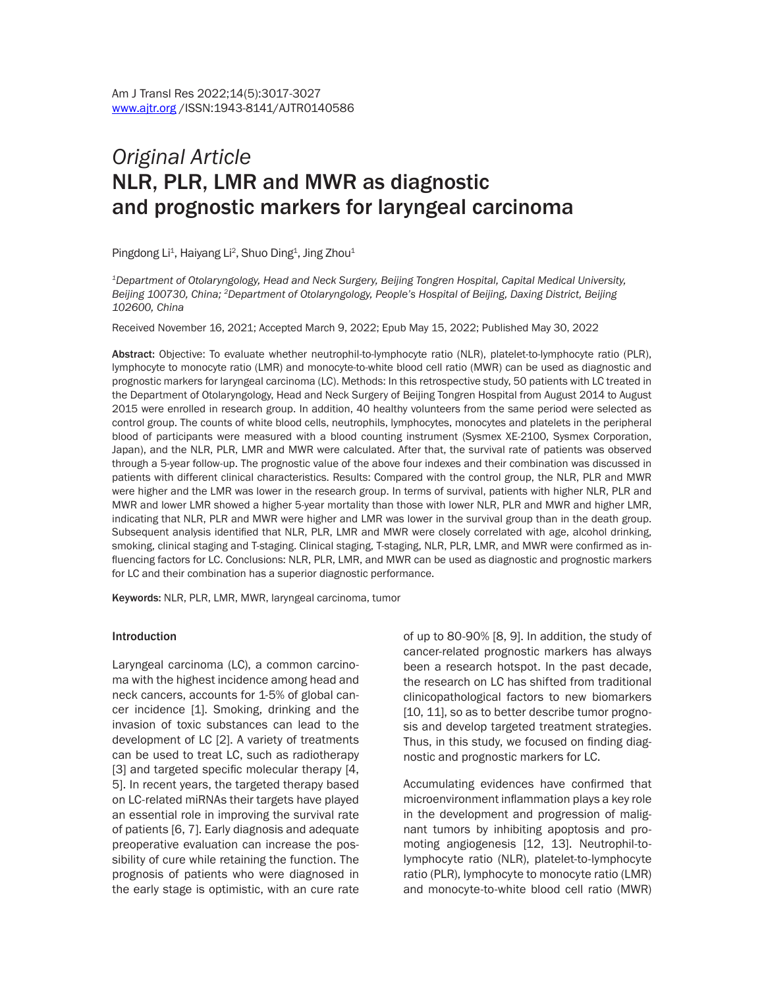# *Original Article* NLR, PLR, LMR and MWR as diagnostic and prognostic markers for laryngeal carcinoma

Pingdong Li<sup>1</sup>, Haiyang Li<sup>2</sup>, Shuo Ding<sup>1</sup>, Jing Zhou<sup>1</sup>

*1Department of Otolaryngology, Head and Neck Surgery, Beijing Tongren Hospital, Capital Medical University, Beijing 100730, China; 2Department of Otolaryngology, People's Hospital of Beijing, Daxing District, Beijing 102600, China*

Received November 16, 2021; Accepted March 9, 2022; Epub May 15, 2022; Published May 30, 2022

Abstract: Objective: To evaluate whether neutrophil-to-lymphocyte ratio (NLR), platelet-to-lymphocyte ratio (PLR), lymphocyte to monocyte ratio (LMR) and monocyte-to-white blood cell ratio (MWR) can be used as diagnostic and prognostic markers for laryngeal carcinoma (LC). Methods: In this retrospective study, 50 patients with LC treated in the Department of Otolaryngology, Head and Neck Surgery of Beijing Tongren Hospital from August 2014 to August 2015 were enrolled in research group. In addition, 40 healthy volunteers from the same period were selected as control group. The counts of white blood cells, neutrophils, lymphocytes, monocytes and platelets in the peripheral blood of participants were measured with a blood counting instrument (Sysmex XE-2100, Sysmex Corporation, Japan), and the NLR, PLR, LMR and MWR were calculated. After that, the survival rate of patients was observed through a 5-year follow-up. The prognostic value of the above four indexes and their combination was discussed in patients with different clinical characteristics. Results: Compared with the control group, the NLR, PLR and MWR were higher and the LMR was lower in the research group. In terms of survival, patients with higher NLR, PLR and MWR and lower LMR showed a higher 5-year mortality than those with lower NLR, PLR and MWR and higher LMR, indicating that NLR, PLR and MWR were higher and LMR was lower in the survival group than in the death group. Subsequent analysis identified that NLR, PLR, LMR and MWR were closely correlated with age, alcohol drinking, smoking, clinical staging and T-staging. Clinical staging, T-staging, NLR, PLR, LMR, and MWR were confirmed as influencing factors for LC. Conclusions: NLR, PLR, LMR, and MWR can be used as diagnostic and prognostic markers for LC and their combination has a superior diagnostic performance.

Keywords: NLR, PLR, LMR, MWR, laryngeal carcinoma, tumor

#### Introduction

Laryngeal carcinoma (LC), a common carcinoma with the highest incidence among head and neck cancers, accounts for 1-5% of global cancer incidence [1]. Smoking, drinking and the invasion of toxic substances can lead to the development of LC [2]. A variety of treatments can be used to treat LC, such as radiotherapy [3] and targeted specific molecular therapy [4, 5]. In recent years, the targeted therapy based on LC-related miRNAs their targets have played an essential role in improving the survival rate of patients [6, 7]. Early diagnosis and adequate preoperative evaluation can increase the possibility of cure while retaining the function. The prognosis of patients who were diagnosed in the early stage is optimistic, with an cure rate of up to 80-90% [8, 9]. In addition, the study of cancer-related prognostic markers has always been a research hotspot. In the past decade, the research on LC has shifted from traditional clinicopathological factors to new biomarkers [10, 11], so as to better describe tumor prognosis and develop targeted treatment strategies. Thus, in this study, we focused on finding diagnostic and prognostic markers for LC.

Accumulating evidences have confirmed that microenvironment inflammation plays a key role in the development and progression of malignant tumors by inhibiting apoptosis and promoting angiogenesis [12, 13]. Neutrophil-tolymphocyte ratio (NLR), platelet-to-lymphocyte ratio (PLR), lymphocyte to monocyte ratio (LMR) and monocyte-to-white blood cell ratio (MWR)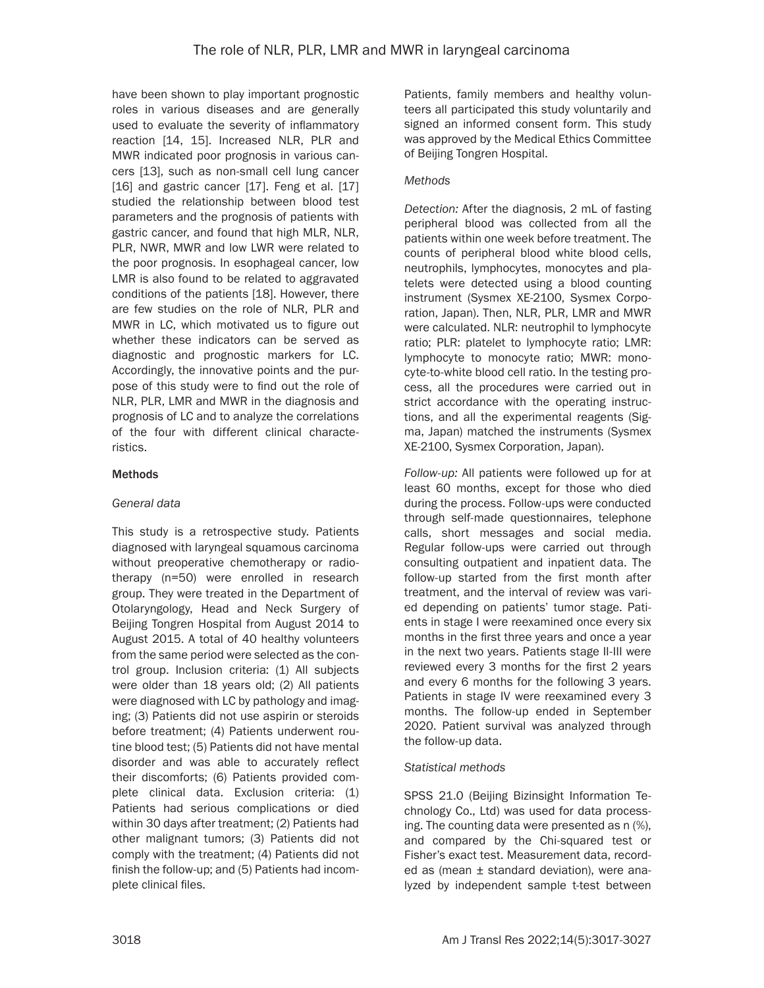have been shown to play important prognostic roles in various diseases and are generally used to evaluate the severity of inflammatory reaction [14, 15]. Increased NLR, PLR and MWR indicated poor prognosis in various cancers [13], such as non-small cell lung cancer [16] and gastric cancer [17]. Feng et al. [17] studied the relationship between blood test parameters and the prognosis of patients with gastric cancer, and found that high MLR, NLR, PLR, NWR, MWR and low LWR were related to the poor prognosis. In esophageal cancer, low LMR is also found to be related to aggravated conditions of the patients [18]. However, there are few studies on the role of NLR, PLR and MWR in LC, which motivated us to figure out whether these indicators can be served as diagnostic and prognostic markers for LC. Accordingly, the innovative points and the purpose of this study were to find out the role of NLR, PLR, LMR and MWR in the diagnosis and prognosis of LC and to analyze the correlations of the four with different clinical characteristics.

# Methods

# *General data*

This study is a retrospective study. Patients diagnosed with laryngeal squamous carcinoma without preoperative chemotherapy or radiotherapy (n=50) were enrolled in research group. They were treated in the Department of Otolaryngology, Head and Neck Surgery of Beijing Tongren Hospital from August 2014 to August 2015. A total of 40 healthy volunteers from the same period were selected as the control group. Inclusion criteria: (1) All subjects were older than 18 years old; (2) All patients were diagnosed with LC by pathology and imaging; (3) Patients did not use aspirin or steroids before treatment; (4) Patients underwent routine blood test; (5) Patients did not have mental disorder and was able to accurately reflect their discomforts; (6) Patients provided complete clinical data. Exclusion criteria: (1) Patients had serious complications or died within 30 days after treatment; (2) Patients had other malignant tumors; (3) Patients did not comply with the treatment; (4) Patients did not finish the follow-up; and (5) Patients had incomplete clinical files.

Patients, family members and healthy volunteers all participated this study voluntarily and signed an informed consent form. This study was approved by the Medical Ethics Committee of Beijing Tongren Hospital.

## *Methods*

*Detection:* After the diagnosis, 2 mL of fasting peripheral blood was collected from all the patients within one week before treatment. The counts of peripheral blood white blood cells, neutrophils, lymphocytes, monocytes and platelets were detected using a blood counting instrument (Sysmex XE-2100, Sysmex Corporation, Japan). Then, NLR, PLR, LMR and MWR were calculated. NLR: neutrophil to lymphocyte ratio; PLR: platelet to lymphocyte ratio; LMR: lymphocyte to monocyte ratio; MWR: monocyte-to-white blood cell ratio. In the testing process, all the procedures were carried out in strict accordance with the operating instructions, and all the experimental reagents (Sigma, Japan) matched the instruments (Sysmex XE-2100, Sysmex Corporation, Japan).

*Follow-up:* All patients were followed up for at least 60 months, except for those who died during the process. Follow-ups were conducted through self-made questionnaires, telephone calls, short messages and social media. Regular follow-ups were carried out through consulting outpatient and inpatient data. The follow-up started from the first month after treatment, and the interval of review was varied depending on patients' tumor stage. Patients in stage I were reexamined once every six months in the first three years and once a year in the next two years. Patients stage II-III were reviewed every 3 months for the first 2 years and every 6 months for the following 3 years. Patients in stage IV were reexamined every 3 months. The follow-up ended in September 2020. Patient survival was analyzed through the follow-up data.

# *Statistical methods*

SPSS 21.0 (Beijing Bizinsight Information Technology Co., Ltd) was used for data processing. The counting data were presented as n (%), and compared by the Chi-squared test or Fisher's exact test. Measurement data, recorded as (mean ± standard deviation), were analyzed by independent sample t-test between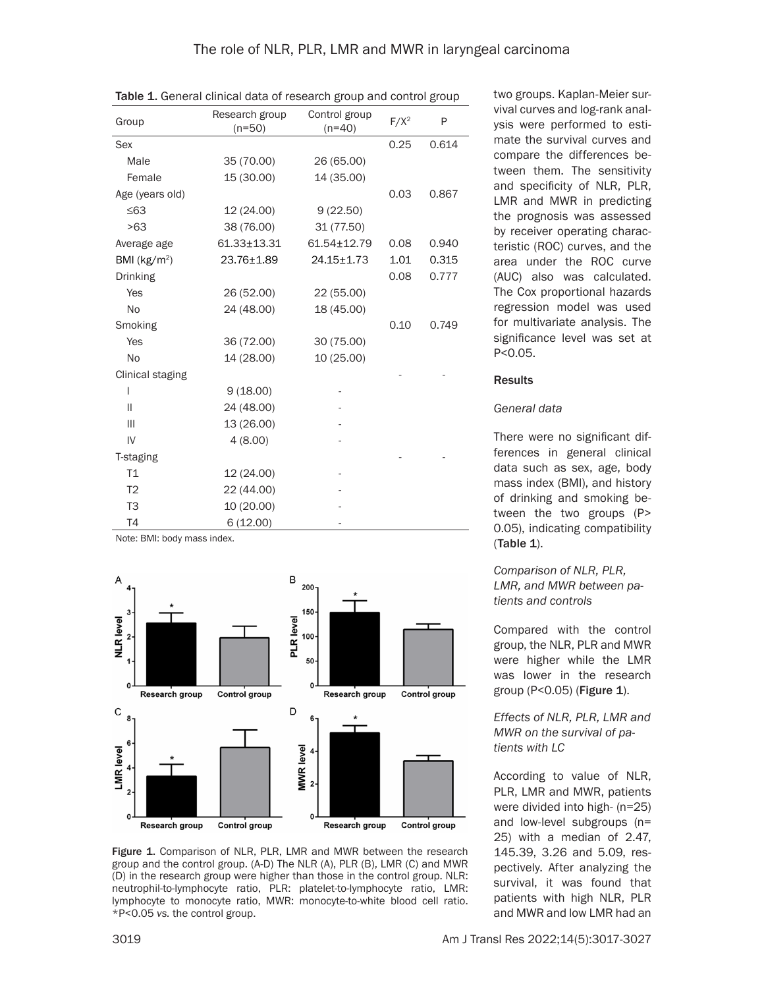| Group            | Research group<br>$(n=50)$ | Control group<br>$(n=40)$ | $F/X^2$ | P     |
|------------------|----------------------------|---------------------------|---------|-------|
| <b>Sex</b>       |                            |                           | 0.25    | 0.614 |
| Male             | 35 (70.00)                 | 26 (65.00)                |         |       |
| Female           | 15 (30.00)                 | 14 (35.00)                |         |       |
| Age (years old)  |                            |                           | 0.03    | 0.867 |
| $\leq 63$        | 12 (24.00)                 | 9(22.50)                  |         |       |
| >63              | 38 (76.00)                 | 31 (77.50)                |         |       |
| Average age      | $61.33 + 13.31$            | 61.54±12.79               | 0.08    | 0.940 |
| BMI $(kg/m2)$    | 23.76±1.89                 | $24.15 \pm 1.73$          | 1.01    | 0.315 |
| <b>Drinking</b>  |                            |                           | 0.08    | 0.777 |
| Yes              | 26 (52.00)                 | 22 (55.00)                |         |       |
| <b>No</b>        | 24 (48.00)                 | 18 (45.00)                |         |       |
| Smoking          |                            |                           | 0.10    | 0.749 |
| Yes              | 36 (72.00)                 | 30 (75.00)                |         |       |
| <b>No</b>        | 14 (28.00)                 | 10 (25.00)                |         |       |
| Clinical staging |                            |                           |         |       |
| I                | 9(18.00)                   |                           |         |       |
| Ш                | 24 (48.00)                 |                           |         |       |
| Ш                | 13 (26.00)                 |                           |         |       |
| IV               | 4(8.00)                    |                           |         |       |
| T-staging        |                            |                           |         |       |
| T <sub>1</sub>   | 12 (24.00)                 |                           |         |       |
| T <sub>2</sub>   | 22 (44.00)                 |                           |         |       |
| T <sub>3</sub>   | 10 (20.00)                 |                           |         |       |
| T <sub>4</sub>   | 6(12.00)                   |                           |         |       |

Table 1. General clinical data of research group and control group

Note: BMI: body mass index.



Figure 1. Comparison of NLR, PLR, LMR and MWR between the research group and the control group. (A-D) The NLR (A), PLR (B), LMR (C) and MWR (D) in the research group were higher than those in the control group. NLR: neutrophil-to-lymphocyte ratio, PLR: platelet-to-lymphocyte ratio, LMR: lymphocyte to monocyte ratio, MWR: monocyte-to-white blood cell ratio. \*P<0.05 *vs.* the control group.

two groups. Kaplan-Meier survival curves and log-rank analysis were performed to estimate the survival curves and compare the differences between them. The sensitivity and specificity of NLR, PLR, LMR and MWR in predicting the prognosis was assessed by receiver operating characteristic (ROC) curves, and the area under the ROC curve (AUC) also was calculated. The Cox proportional hazards regression model was used for multivariate analysis. The significance level was set at P<0.05.

#### **Results**

#### *General data*

There were no significant differences in general clinical data such as sex, age, body mass index (BMI), and history of drinking and smoking between the two groups (P> 0.05), indicating compatibility  $(Table 1)$ .

## *Comparison of NLR, PLR, LMR, and MWR between patients and controls*

Compared with the control group, the NLR, PLR and MWR were higher while the LMR was lower in the research group  $(P<0.05)$  (Figure 1).

## *Effects of NLR, PLR, LMR and MWR on the survival of patients with LC*

According to value of NLR, PLR, LMR and MWR, patients were divided into high- (n=25) and low-level subgroups (n= 25) with a median of 2.47, 145.39, 3.26 and 5.09, respectively. After analyzing the survival, it was found that patients with high NLR, PLR and MWR and low LMR had an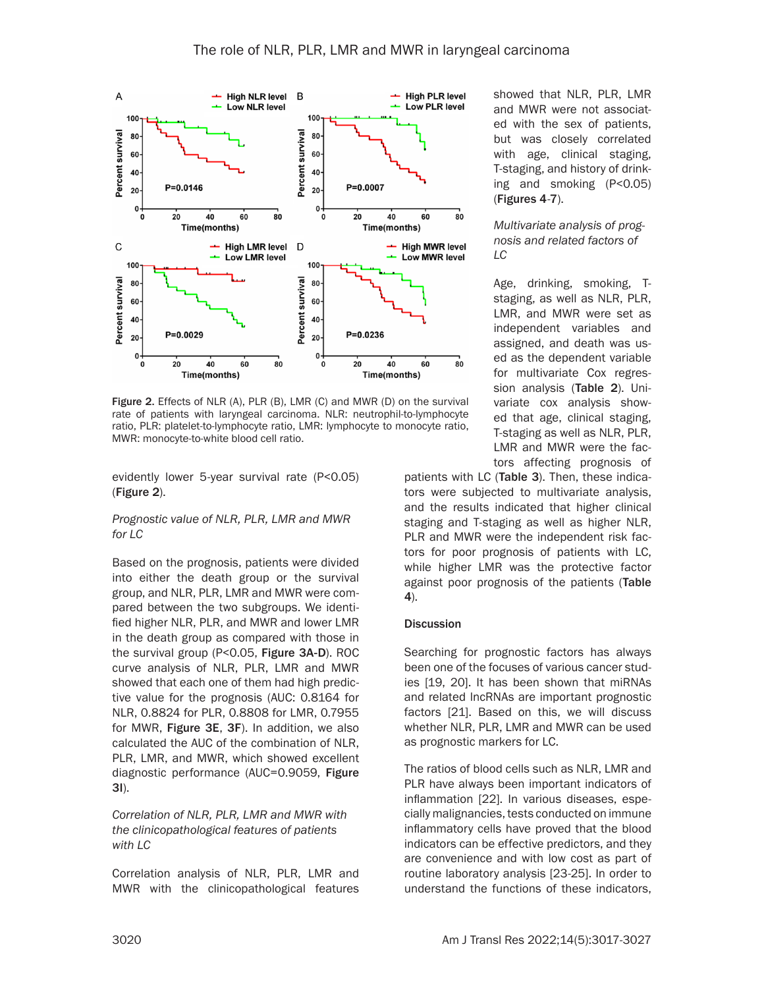

Figure 2. Effects of NLR (A), PLR (B), LMR (C) and MWR (D) on the survival rate of patients with laryngeal carcinoma. NLR: neutrophil-to-lymphocyte ratio, PLR: platelet-to-lymphocyte ratio, LMR: lymphocyte to monocyte ratio, MWR: monocyte-to-white blood cell ratio.

evidently lower 5-year survival rate (P<0.05) (Figure 2).

#### *Prognostic value of NLR, PLR, LMR and MWR for LC*

Based on the prognosis, patients were divided into either the death group or the survival group, and NLR, PLR, LMR and MWR were compared between the two subgroups. We identified higher NLR, PLR, and MWR and lower LMR in the death group as compared with those in the survival group (P<0.05, Figure 3A-D). ROC curve analysis of NLR, PLR, LMR and MWR showed that each one of them had high predictive value for the prognosis (AUC: 0.8164 for NLR, 0.8824 for PLR, 0.8808 for LMR, 0.7955 for MWR, Figure 3E, 3F). In addition, we also calculated the AUC of the combination of NLR, PLR, LMR, and MWR, which showed excellent diagnostic performance (AUC=0.9059, Figure 3I).

*Correlation of NLR, PLR, LMR and MWR with the clinicopathological features of patients with LC*

Correlation analysis of NLR, PLR, LMR and MWR with the clinicopathological features showed that NLR, PLR, LMR and MWR were not associated with the sex of patients, but was closely correlated with age, clinical staging, T-staging, and history of drinking and smoking (P<0.05) (Figures 4-7).

#### *Multivariate analysis of prognosis and related factors of LC*

Age, drinking, smoking, Tstaging, as well as NLR, PLR, LMR, and MWR were set as independent variables and assigned, and death was used as the dependent variable for multivariate Cox regression analysis (Table 2). Univariate cox analysis showed that age, clinical staging, T-staging as well as NLR, PLR, LMR and MWR were the factors affecting prognosis of

patients with LC (Table 3). Then, these indicators were subjected to multivariate analysis, and the results indicated that higher clinical staging and T-staging as well as higher NLR, PLR and MWR were the independent risk factors for poor prognosis of patients with LC, while higher LMR was the protective factor against poor prognosis of the patients (Table 4).

## **Discussion**

Searching for prognostic factors has always been one of the focuses of various cancer studies [19, 20]. It has been shown that miRNAs and related lncRNAs are important prognostic factors [21]. Based on this, we will discuss whether NLR, PLR, LMR and MWR can be used as prognostic markers for LC.

The ratios of blood cells such as NLR, LMR and PLR have always been important indicators of inflammation [22]. In various diseases, especially malignancies, tests conducted on immune inflammatory cells have proved that the blood indicators can be effective predictors, and they are convenience and with low cost as part of routine laboratory analysis [23-25]. In order to understand the functions of these indicators,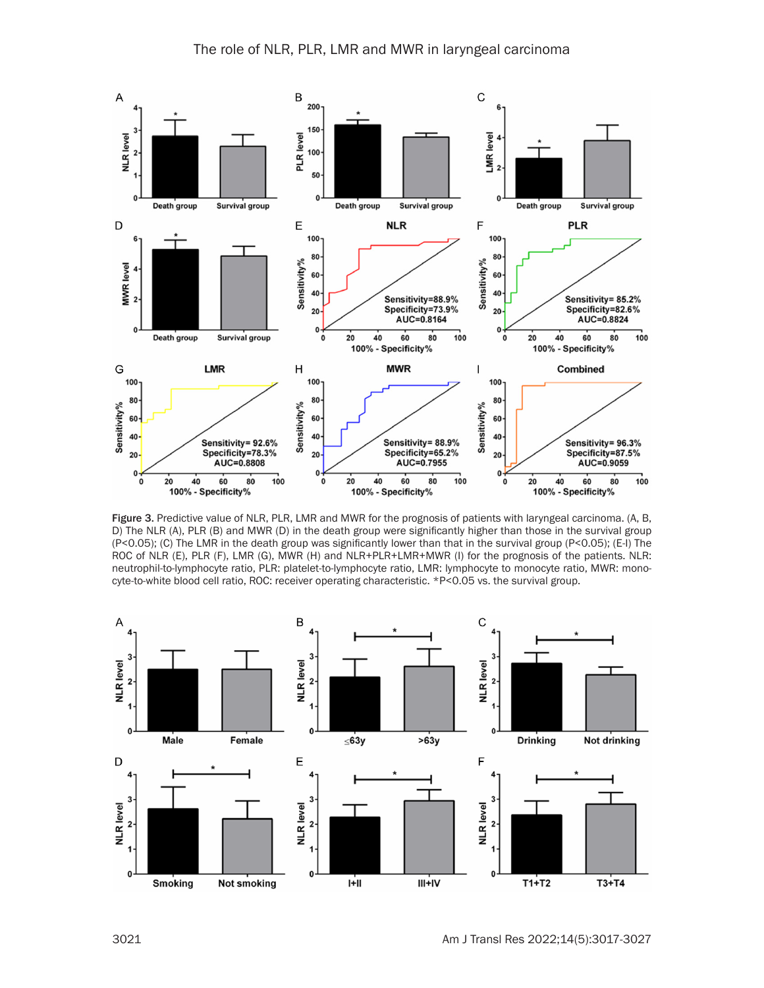

Figure 3. Predictive value of NLR, PLR, LMR and MWR for the prognosis of patients with laryngeal carcinoma. (A, B, D) The NLR (A), PLR (B) and MWR (D) in the death group were significantly higher than those in the survival group (P<0.05); (C) The LMR in the death group was significantly lower than that in the survival group (P<0.05); (E-I) The ROC of NLR (E), PLR (F), LMR (G), MWR (H) and NLR+PLR+LMR+MWR (I) for the prognosis of the patients. NLR: neutrophil-to-lymphocyte ratio, PLR: platelet-to-lymphocyte ratio, LMR: lymphocyte to monocyte ratio, MWR: monocyte-to-white blood cell ratio, ROC: receiver operating characteristic. \*P<0.05 vs. the survival group.

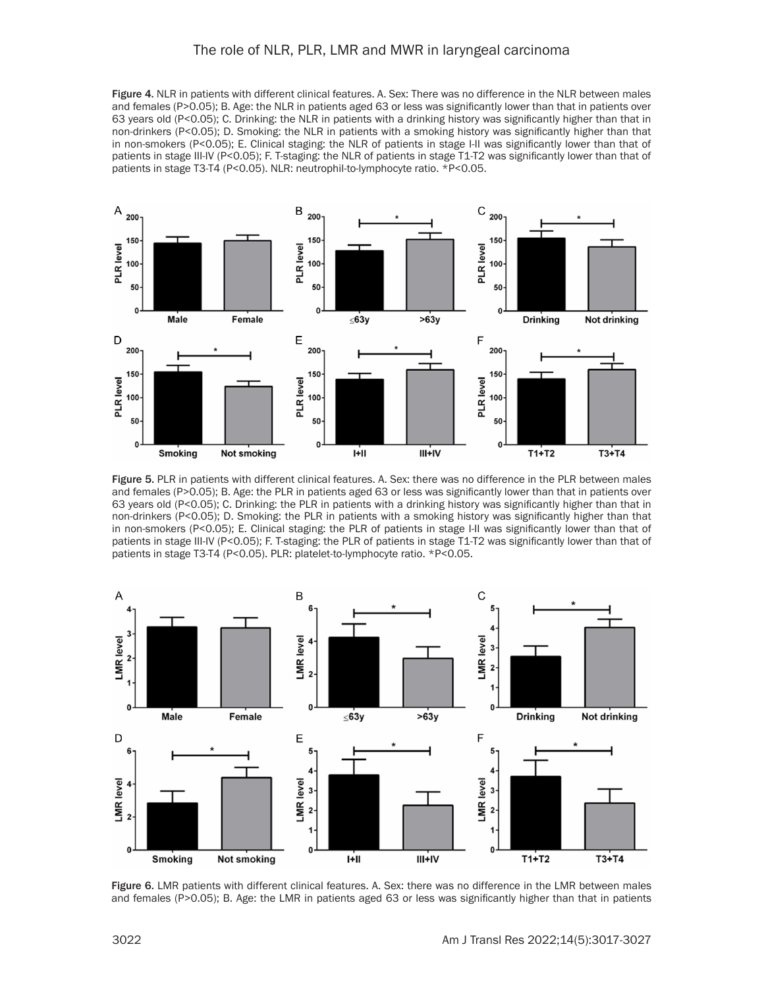Figure 4. NLR in patients with different clinical features. A. Sex: There was no difference in the NLR between males and females (P>0.05); B. Age: the NLR in patients aged 63 or less was significantly lower than that in patients over 63 years old (P<0.05); C. Drinking: the NLR in patients with a drinking history was significantly higher than that in non-drinkers (P<0.05); D. Smoking: the NLR in patients with a smoking history was significantly higher than that in non-smokers (P<0.05); E. Clinical staging: the NLR of patients in stage I-II was significantly lower than that of patients in stage III-IV (P<0.05); F. T-staging: the NLR of patients in stage T1-T2 was significantly lower than that of patients in stage T3-T4 (P<0.05). NLR: neutrophil-to-lymphocyte ratio. \*P<0.05.



Figure 5. PLR in patients with different clinical features. A. Sex: there was no difference in the PLR between males and females (P>0.05); B. Age: the PLR in patients aged 63 or less was significantly lower than that in patients over 63 years old (P<0.05); C. Drinking: the PLR in patients with a drinking history was significantly higher than that in non-drinkers (P<0.05); D. Smoking: the PLR in patients with a smoking history was significantly higher than that in non-smokers (P<0.05); E. Clinical staging: the PLR of patients in stage I-II was significantly lower than that of patients in stage III-IV (P<0.05); F. T-staging: the PLR of patients in stage T1-T2 was significantly lower than that of patients in stage T3-T4 (P<0.05). PLR: platelet-to-lymphocyte ratio. \*P<0.05.



Figure 6. LMR patients with different clinical features. A. Sex: there was no difference in the LMR between males and females (P>0.05); B. Age: the LMR in patients aged 63 or less was significantly higher than that in patients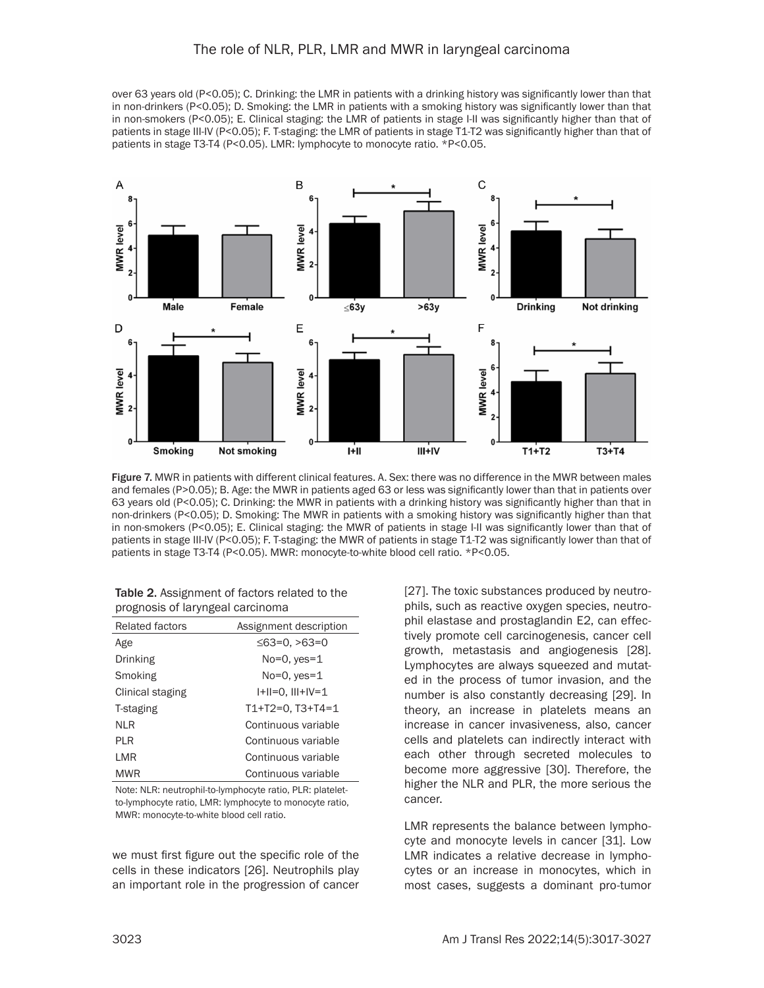over 63 years old (P<0.05); C. Drinking: the LMR in patients with a drinking history was significantly lower than that in non-drinkers (P<0.05); D. Smoking: the LMR in patients with a smoking history was significantly lower than that in non-smokers (P<0.05); E. Clinical staging: the LMR of patients in stage I-II was significantly higher than that of patients in stage III-IV (P<0.05); F. T-staging: the LMR of patients in stage T1-T2 was significantly higher than that of patients in stage T3-T4 (P<0.05). LMR: lymphocyte to monocyte ratio. \*P<0.05.



Figure 7. MWR in patients with different clinical features. A. Sex: there was no difference in the MWR between males and females (P>0.05); B. Age: the MWR in patients aged 63 or less was significantly lower than that in patients over 63 years old (P<0.05); C. Drinking: the MWR in patients with a drinking history was significantly higher than that in non-drinkers (P<0.05); D. Smoking: The MWR in patients with a smoking history was significantly higher than that in non-smokers (P<0.05); E. Clinical staging: the MWR of patients in stage I-II was significantly lower than that of patients in stage III-IV (P<0.05); F. T-staging: the MWR of patients in stage T1-T2 was significantly lower than that of patients in stage T3-T4 (P<0.05). MWR: monocyte-to-white blood cell ratio. \*P<0.05.

| Table 2. Assignment of factors related to the |
|-----------------------------------------------|
| prognosis of laryngeal carcinoma              |

| <b>Related factors</b> | Assignment description |
|------------------------|------------------------|
| Age                    | $\leq$ 63=0, $>$ 63=0  |
| Drinking               | $No=0, yes=1$          |
| Smoking                | $No=0, yes=1$          |
| Clinical staging       | I+II=0. III+IV=1       |
| T-staging              | $T1+T2=0. T3+T4=1$     |
| NI R                   | Continuous variable    |
| PI R                   | Continuous variable    |
| I MR                   | Continuous variable    |
| <b>MWR</b>             | Continuous variable    |

Note: NLR: neutrophil-to-lymphocyte ratio, PLR: plateletto-lymphocyte ratio, LMR: lymphocyte to monocyte ratio, MWR: monocyte-to-white blood cell ratio.

we must first figure out the specific role of the cells in these indicators [26]. Neutrophils play an important role in the progression of cancer

[27]. The toxic substances produced by neutrophils, such as reactive oxygen species, neutrophil elastase and prostaglandin E2, can effectively promote cell carcinogenesis, cancer cell growth, metastasis and angiogenesis [28]. Lymphocytes are always squeezed and mutated in the process of tumor invasion, and the number is also constantly decreasing [29]. In theory, an increase in platelets means an increase in cancer invasiveness, also, cancer cells and platelets can indirectly interact with each other through secreted molecules to become more aggressive [30]. Therefore, the higher the NLR and PLR, the more serious the cancer.

LMR represents the balance between lymphocyte and monocyte levels in cancer [31]. Low LMR indicates a relative decrease in lymphocytes or an increase in monocytes, which in most cases, suggests a dominant pro-tumor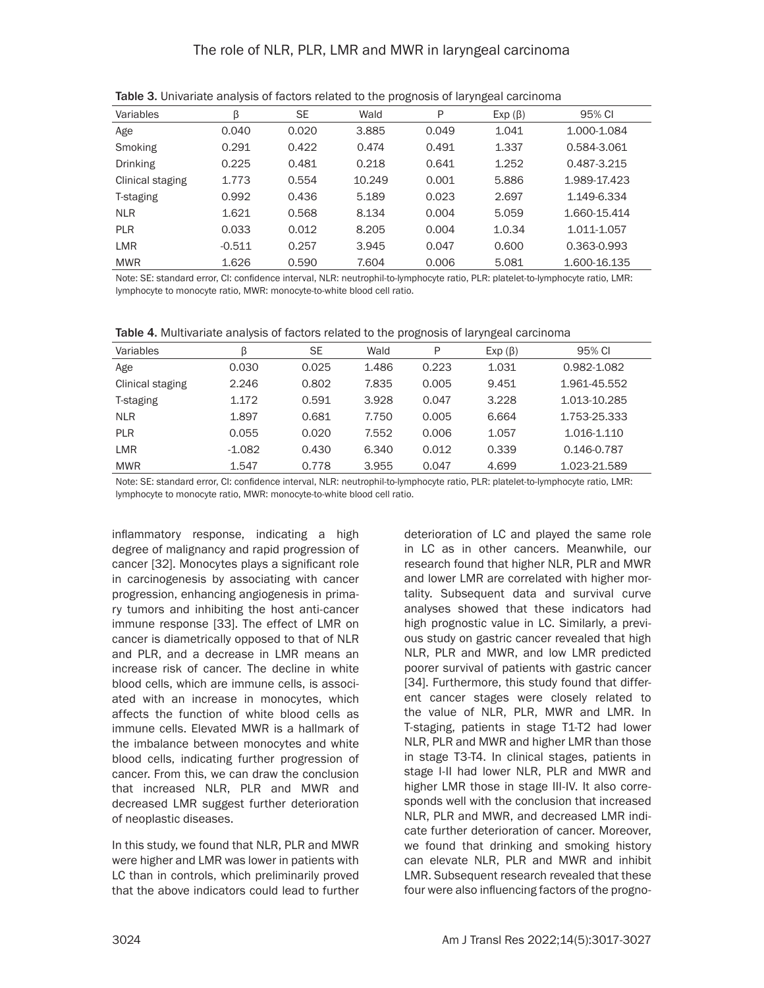| Variables        | β        | <b>SE</b> | Wald   | P     | $Exp(\beta)$ | 95% CI       |
|------------------|----------|-----------|--------|-------|--------------|--------------|
| Age              | 0.040    | 0.020     | 3.885  | 0.049 | 1.041        | 1.000-1.084  |
| Smoking          | 0.291    | 0.422     | 0.474  | 0.491 | 1.337        | 0.584-3.061  |
| Drinking         | 0.225    | 0.481     | 0.218  | 0.641 | 1.252        | 0.487-3.215  |
| Clinical staging | 1.773    | 0.554     | 10.249 | 0.001 | 5.886        | 1.989-17.423 |
| T-staging        | 0.992    | 0.436     | 5.189  | 0.023 | 2.697        | 1.149-6.334  |
| <b>NLR</b>       | 1.621    | 0.568     | 8.134  | 0.004 | 5.059        | 1.660-15.414 |
| <b>PLR</b>       | 0.033    | 0.012     | 8.205  | 0.004 | 1.0.34       | 1.011-1.057  |
| <b>LMR</b>       | $-0.511$ | 0.257     | 3.945  | 0.047 | 0.600        | 0.363-0.993  |
| <b>MWR</b>       | 1.626    | 0.590     | 7.604  | 0.006 | 5.081        | 1.600-16.135 |

Table 3. Univariate analysis of factors related to the prognosis of laryngeal carcinoma

Note: SE: standard error, CI: confidence interval, NLR: neutrophil-to-lymphocyte ratio, PLR: platelet-to-lymphocyte ratio, LMR: lymphocyte to monocyte ratio, MWR: monocyte-to-white blood cell ratio.

| Variables        | β        | <b>SE</b> | Wald  | P     | $Exp(\beta)$ | 95% CI       |
|------------------|----------|-----------|-------|-------|--------------|--------------|
| Age              | 0.030    | 0.025     | 1.486 | 0.223 | 1.031        | 0.982-1.082  |
| Clinical staging | 2.246    | 0.802     | 7.835 | 0.005 | 9.451        | 1.961-45.552 |
| T-staging        | 1.172    | 0.591     | 3.928 | 0.047 | 3.228        | 1.013-10.285 |
| <b>NLR</b>       | 1.897    | 0.681     | 7.750 | 0.005 | 6.664        | 1.753-25.333 |
| <b>PLR</b>       | 0.055    | 0.020     | 7.552 | 0.006 | 1.057        | 1.016-1.110  |
| LMR              | $-1.082$ | 0.430     | 6.340 | 0.012 | 0.339        | 0.146-0.787  |
| <b>MWR</b>       | 1.547    | 0.778     | 3.955 | 0.047 | 4.699        | 1.023-21.589 |

Note: SE: standard error, CI: confidence interval, NLR: neutrophil-to-lymphocyte ratio, PLR: platelet-to-lymphocyte ratio, LMR: lymphocyte to monocyte ratio, MWR: monocyte-to-white blood cell ratio.

inflammatory response, indicating a high degree of malignancy and rapid progression of cancer [32]. Monocytes plays a significant role in carcinogenesis by associating with cancer progression, enhancing angiogenesis in primary tumors and inhibiting the host anti-cancer immune response [33]. The effect of LMR on cancer is diametrically opposed to that of NLR and PLR, and a decrease in LMR means an increase risk of cancer. The decline in white blood cells, which are immune cells, is associated with an increase in monocytes, which affects the function of white blood cells as immune cells. Elevated MWR is a hallmark of the imbalance between monocytes and white blood cells, indicating further progression of cancer. From this, we can draw the conclusion that increased NLR, PLR and MWR and decreased LMR suggest further deterioration of neoplastic diseases.

In this study, we found that NLR, PLR and MWR were higher and LMR was lower in patients with LC than in controls, which preliminarily proved that the above indicators could lead to further deterioration of LC and played the same role in LC as in other cancers. Meanwhile, our research found that higher NLR, PLR and MWR and lower LMR are correlated with higher mortality. Subsequent data and survival curve analyses showed that these indicators had high prognostic value in LC. Similarly, a previous study on gastric cancer revealed that high NLR, PLR and MWR, and low LMR predicted poorer survival of patients with gastric cancer [34]. Furthermore, this study found that different cancer stages were closely related to the value of NLR, PLR, MWR and LMR. In T-staging, patients in stage T1-T2 had lower NLR, PLR and MWR and higher LMR than those in stage T3-T4. In clinical stages, patients in stage I-II had lower NLR, PLR and MWR and higher LMR those in stage III-IV. It also corresponds well with the conclusion that increased NLR, PLR and MWR, and decreased LMR indicate further deterioration of cancer. Moreover, we found that drinking and smoking history can elevate NLR, PLR and MWR and inhibit LMR. Subsequent research revealed that these four were also influencing factors of the progno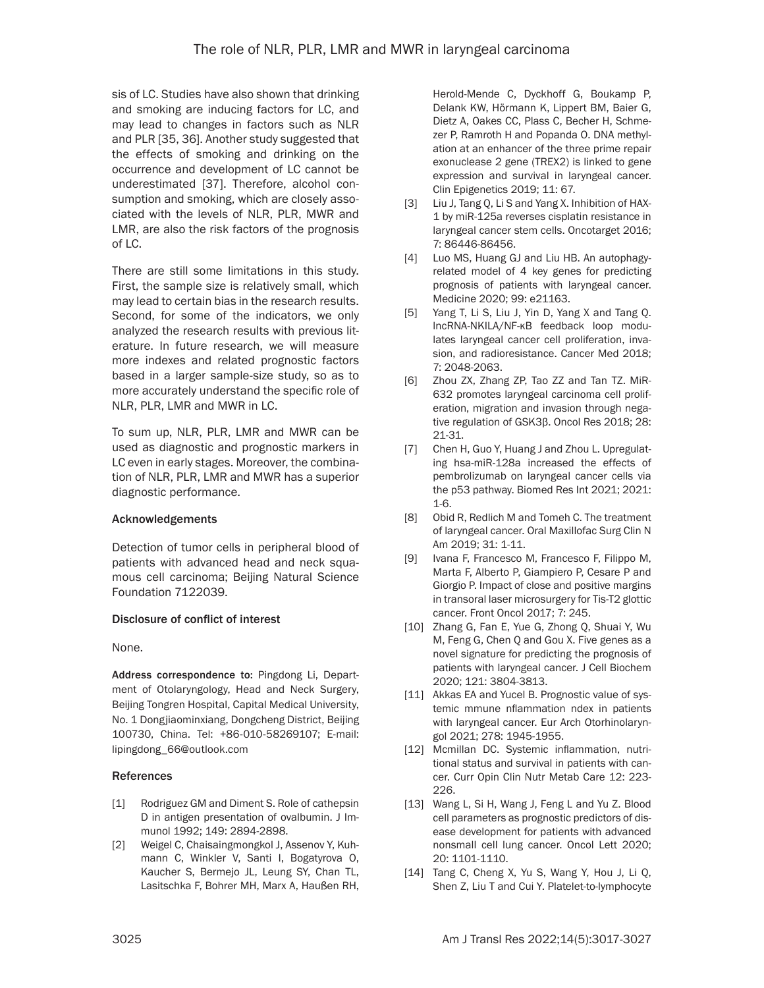sis of LC. Studies have also shown that drinking and smoking are inducing factors for LC, and may lead to changes in factors such as NLR and PLR [35, 36]. Another study suggested that the effects of smoking and drinking on the occurrence and development of LC cannot be underestimated [37]. Therefore, alcohol consumption and smoking, which are closely associated with the levels of NLR, PLR, MWR and LMR, are also the risk factors of the prognosis of LC.

There are still some limitations in this study. First, the sample size is relatively small, which may lead to certain bias in the research results. Second, for some of the indicators, we only analyzed the research results with previous literature. In future research, we will measure more indexes and related prognostic factors based in a larger sample-size study, so as to more accurately understand the specific role of NLR, PLR, LMR and MWR in LC.

To sum up, NLR, PLR, LMR and MWR can be used as diagnostic and prognostic markers in LC even in early stages. Moreover, the combination of NLR, PLR, LMR and MWR has a superior diagnostic performance.

## Acknowledgements

Detection of tumor cells in peripheral blood of patients with advanced head and neck squamous cell carcinoma; Beijing Natural Science Foundation 7122039.

## Disclosure of conflict of interest

None.

Address correspondence to: Pingdong Li, Department of Otolaryngology, Head and Neck Surgery, Beijing Tongren Hospital, Capital Medical University, No. 1 Dongjiaominxiang, Dongcheng District, Beijing 100730, China. Tel: +86-010-58269107; E-mail: [lipingdong\\_66@outlook.com](mailto:lipingdong_66@outlook.com)

## References

- [1] Rodriguez GM and Diment S. Role of cathepsin D in antigen presentation of ovalbumin. J Immunol 1992; 149: 2894-2898.
- [2] Weigel C, Chaisaingmongkol J, Assenov Y, Kuhmann C, Winkler V, Santi I, Bogatyrova O, Kaucher S, Bermejo JL, Leung SY, Chan TL, Lasitschka F, Bohrer MH, Marx A, Haußen RH,

Herold-Mende C, Dyckhoff G, Boukamp P, Delank KW, Hörmann K, Lippert BM, Baier G, Dietz A, Oakes CC, Plass C, Becher H, Schmezer P, Ramroth H and Popanda O. DNA methylation at an enhancer of the three prime repair exonuclease 2 gene (TREX2) is linked to gene expression and survival in laryngeal cancer. Clin Epigenetics 2019; 11: 67.

- [3] Liu J, Tang Q, Li S and Yang X. Inhibition of HAX-1 by miR-125a reverses cisplatin resistance in laryngeal cancer stem cells. Oncotarget 2016; 7: 86446-86456.
- [4] Luo MS, Huang GJ and Liu HB. An autophagyrelated model of 4 key genes for predicting prognosis of patients with laryngeal cancer. Medicine 2020; 99: e21163.
- [5] Yang T, Li S, Liu J, Yin D, Yang X and Tang Q. lncRNA-NKILA/NF-κB feedback loop modulates laryngeal cancer cell proliferation, invasion, and radioresistance. Cancer Med 2018; 7: 2048-2063.
- [6] Zhou ZX, Zhang ZP, Tao ZZ and Tan TZ. MiR-632 promotes laryngeal carcinoma cell proliferation, migration and invasion through negative regulation of GSK3β. Oncol Res 2018; 28: 21-31.
- [7] Chen H, Guo Y, Huang J and Zhou L. Upregulating hsa-miR-128a increased the effects of pembrolizumab on laryngeal cancer cells via the p53 pathway. Biomed Res Int 2021; 2021: 1-6.
- [8] Obid R, Redlich M and Tomeh C. The treatment of laryngeal cancer. Oral Maxillofac Surg Clin N Am 2019; 31: 1-11.
- [9] Ivana F, Francesco M, Francesco F, Filippo M, Marta F, Alberto P, Giampiero P, Cesare P and Giorgio P. Impact of close and positive margins in transoral laser microsurgery for Tis-T2 glottic cancer. Front Oncol 2017; 7: 245.
- [10] Zhang G, Fan E, Yue G, Zhong Q, Shuai Y, Wu M, Feng G, Chen Q and Gou X. Five genes as a novel signature for predicting the prognosis of patients with laryngeal cancer. J Cell Biochem 2020; 121: 3804-3813.
- [11] Akkas EA and Yucel B. Prognostic value of systemic mmune nflammation ndex in patients with laryngeal cancer. Eur Arch Otorhinolaryngol 2021; 278: 1945-1955.
- [12] Mcmillan DC. Systemic inflammation, nutritional status and survival in patients with cancer. Curr Opin Clin Nutr Metab Care 12: 223- 226.
- [13] Wang L, Si H, Wang J, Feng L and Yu Z. Blood cell parameters as prognostic predictors of disease development for patients with advanced nonsmall cell lung cancer. Oncol Lett 2020; 20: 1101-1110.
- [14] Tang C, Cheng X, Yu S, Wang Y, Hou J, Li Q, Shen Z, Liu T and Cui Y. Platelet-to-lymphocyte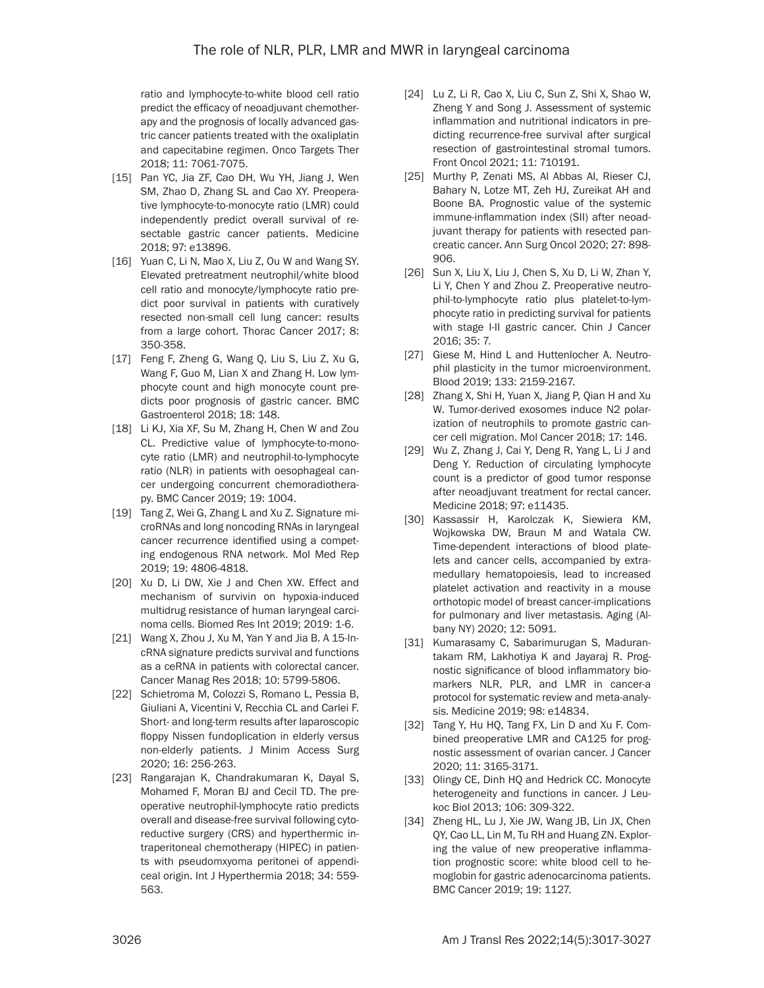ratio and lymphocyte-to-white blood cell ratio predict the efficacy of neoadjuvant chemotherapy and the prognosis of locally advanced gastric cancer patients treated with the oxaliplatin and capecitabine regimen. Onco Targets Ther 2018; 11: 7061-7075.

- [15] Pan YC, Jia ZF, Cao DH, Wu YH, Jiang J, Wen SM, Zhao D, Zhang SL and Cao XY. Preoperative lymphocyte-to-monocyte ratio (LMR) could independently predict overall survival of resectable gastric cancer patients. Medicine 2018; 97: e13896.
- [16] Yuan C, Li N, Mao X, Liu Z, Ou W and Wang SY. Elevated pretreatment neutrophil/white blood cell ratio and monocyte/lymphocyte ratio predict poor survival in patients with curatively resected non-small cell lung cancer: results from a large cohort. Thorac Cancer 2017; 8: 350-358.
- [17] Feng F, Zheng G, Wang Q, Liu S, Liu Z, Xu G, Wang F, Guo M, Lian X and Zhang H. Low lymphocyte count and high monocyte count predicts poor prognosis of gastric cancer. BMC Gastroenterol 2018; 18: 148.
- [18] Li KJ, Xia XF, Su M, Zhang H, Chen W and Zou CL. Predictive value of lymphocyte-to-monocyte ratio (LMR) and neutrophil-to-lymphocyte ratio (NLR) in patients with oesophageal cancer undergoing concurrent chemoradiotherapy. BMC Cancer 2019; 19: 1004.
- [19] Tang Z, Wei G, Zhang L and Xu Z. Signature microRNAs and long noncoding RNAs in laryngeal cancer recurrence identified using a competing endogenous RNA network. Mol Med Rep 2019; 19: 4806-4818.
- [20] Xu D, Li DW, Xie J and Chen XW. Effect and mechanism of survivin on hypoxia-induced multidrug resistance of human laryngeal carcinoma cells. Biomed Res Int 2019; 2019: 1-6.
- [21] Wang X, Zhou J, Xu M, Yan Y and Jia B. A 15-IncRNA signature predicts survival and functions as a ceRNA in patients with colorectal cancer. Cancer Manag Res 2018; 10: 5799-5806.
- [22] Schietroma M, Colozzi S, Romano L, Pessia B, Giuliani A, Vicentini V, Recchia CL and Carlei F. Short- and long-term results after laparoscopic floppy Nissen fundoplication in elderly versus non-elderly patients. J Minim Access Surg 2020; 16: 256-263.
- [23] Rangarajan K, Chandrakumaran K, Dayal S, Mohamed F, Moran BJ and Cecil TD. The preoperative neutrophil-lymphocyte ratio predicts overall and disease-free survival following cytoreductive surgery (CRS) and hyperthermic intraperitoneal chemotherapy (HIPEC) in patients with pseudomxyoma peritonei of appendiceal origin. Int J Hyperthermia 2018; 34: 559- 563.
- [24] Lu Z, Li R, Cao X, Liu C, Sun Z, Shi X, Shao W, Zheng Y and Song J. Assessment of systemic inflammation and nutritional indicators in predicting recurrence-free survival after surgical resection of gastrointestinal stromal tumors. Front Oncol 2021; 11: 710191.
- [25] Murthy P, Zenati MS, Al Abbas AI, Rieser CJ, Bahary N, Lotze MT, Zeh HJ, Zureikat AH and Boone BA. Prognostic value of the systemic immune-inflammation index (SII) after neoadjuvant therapy for patients with resected pancreatic cancer. Ann Surg Oncol 2020; 27: 898- 906.
- [26] Sun X, Liu X, Liu J, Chen S, Xu D, Li W, Zhan Y, Li Y, Chen Y and Zhou Z. Preoperative neutrophil-to-lymphocyte ratio plus platelet-to-lymphocyte ratio in predicting survival for patients with stage I-II gastric cancer. Chin J Cancer 2016; 35: 7.
- [27] Giese M, Hind L and Huttenlocher A. Neutrophil plasticity in the tumor microenvironment. Blood 2019; 133: 2159-2167.
- [28] Zhang X, Shi H, Yuan X, Jiang P, Qian H and Xu W. Tumor-derived exosomes induce N2 polarization of neutrophils to promote gastric cancer cell migration. Mol Cancer 2018; 17: 146.
- [29] Wu Z, Zhang J, Cai Y, Deng R, Yang L, Li J and Deng Y. Reduction of circulating lymphocyte count is a predictor of good tumor response after neoadjuvant treatment for rectal cancer. Medicine 2018; 97: e11435.
- [30] Kassassir H, Karolczak K, Siewiera KM, Wojkowska DW, Braun M and Watala CW. Time-dependent interactions of blood platelets and cancer cells, accompanied by extramedullary hematopoiesis, lead to increased platelet activation and reactivity in a mouse orthotopic model of breast cancer-implications for pulmonary and liver metastasis. Aging (Albany NY) 2020; 12: 5091.
- [31] Kumarasamy C, Sabarimurugan S, Madurantakam RM, Lakhotiya K and Jayaraj R. Prognostic significance of blood inflammatory biomarkers NLR, PLR, and LMR in cancer-a protocol for systematic review and meta-analysis. Medicine 2019; 98: e14834.
- [32] Tang Y, Hu HQ, Tang FX, Lin D and Xu F. Combined preoperative LMR and CA125 for prognostic assessment of ovarian cancer. J Cancer 2020; 11: 3165-3171.
- [33] Olingy CE, Dinh HQ and Hedrick CC. Monocyte heterogeneity and functions in cancer. J Leukoc Biol 2013; 106: 309-322.
- [34] Zheng HL, Lu J, Xie JW, Wang JB, Lin JX, Chen QY, Cao LL, Lin M, Tu RH and Huang ZN. Exploring the value of new preoperative inflammation prognostic score: white blood cell to hemoglobin for gastric adenocarcinoma patients. BMC Cancer 2019; 19: 1127.